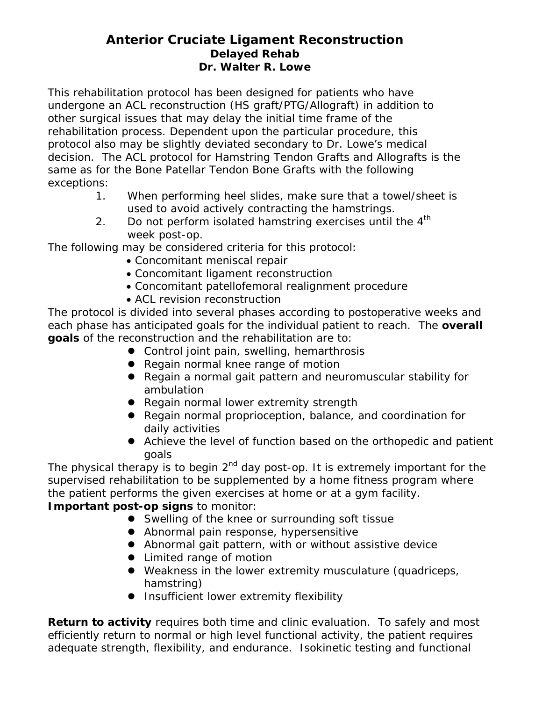# **Anterior Cruciate Ligament Reconstruction Delayed Rehab Dr. Walter R. Lowe**

This rehabilitation protocol has been designed for patients who have undergone an ACL reconstruction (HS graft/PTG/Allograft) in addition to other surgical issues that may delay the initial time frame of the rehabilitation process. Dependent upon the particular procedure, this protocol also may be slightly deviated secondary to Dr. Lowe's medical decision. The ACL protocol for Hamstring Tendon Grafts and Allografts is the same as for the Bone Patellar Tendon Bone Grafts with the following exceptions:

- 1. When performing heel slides, make sure that a towel/sheet is used to avoid actively contracting the hamstrings.
- 2. Do not perform isolated hamstring exercises until the  $4<sup>th</sup>$ week post-op.

The following may be considered criteria for this protocol:

- Concomitant meniscal repair
- Concomitant ligament reconstruction
- Concomitant patellofemoral realignment procedure
- ACL revision reconstruction

The protocol is divided into several phases according to postoperative weeks and each phase has anticipated goals for the individual patient to reach. The **overall goals** of the reconstruction and the rehabilitation are to:

- Control joint pain, swelling, hemarthrosis
- Regain normal knee range of motion
- Regain a normal gait pattern and neuromuscular stability for ambulation
- Regain normal lower extremity strength
- Regain normal proprioception, balance, and coordination for daily activities
- Achieve the level of function based on the orthopedic and patient goals

The physical therapy is to begin  $2^{nd}$  day post-op. It is extremely important for the supervised rehabilitation to be supplemented by a home fitness program where the patient performs the given exercises at home or at a gym facility. **Important post-op signs** to monitor:

- Swelling of the knee or surrounding soft tissue
- Abnormal pain response, hypersensitive
- Abnormal gait pattern, with or without assistive device
- Limited range of motion
- Weakness in the lower extremity musculature (quadriceps, hamstring)
- **•** Insufficient lower extremity flexibility

**Return to activity** requires both time and clinic evaluation. To safely and most efficiently return to normal or high level functional activity, the patient requires adequate strength, flexibility, and endurance. Isokinetic testing and functional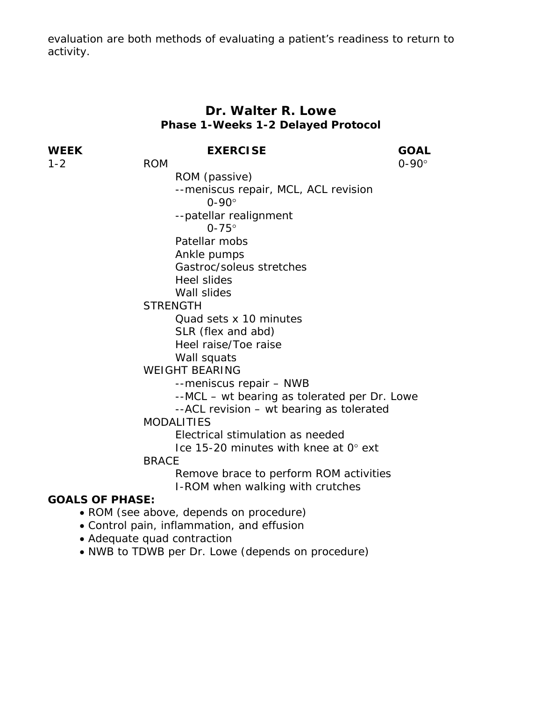evaluation are both methods of evaluating a patient's readiness to return to activity.

# **Dr. Walter R. Lowe Phase 1-Weeks 1-2 Delayed Protocol**

| WEEK                   | <b>EXERCISE</b>                              | <b>GOAL</b>  |
|------------------------|----------------------------------------------|--------------|
| $1 - 2$                | <b>ROM</b>                                   | $0-90^\circ$ |
|                        | ROM (passive)                                |              |
|                        | --meniscus repair, MCL, ACL revision         |              |
|                        | $0 - 90^\circ$                               |              |
|                        | --patellar realignment                       |              |
|                        | $0-75^\circ$                                 |              |
|                        | Patellar mobs                                |              |
|                        | Ankle pumps                                  |              |
|                        | Gastroc/soleus stretches                     |              |
|                        | <b>Heel slides</b>                           |              |
|                        | Wall slides                                  |              |
|                        | <b>STRENGTH</b>                              |              |
|                        | Quad sets x 10 minutes                       |              |
|                        | SLR (flex and abd)                           |              |
|                        | Heel raise/Toe raise                         |              |
|                        | Wall squats                                  |              |
|                        | <b>WEIGHT BEARING</b>                        |              |
|                        | --meniscus repair - NWB                      |              |
|                        | --MCL - wt bearing as tolerated per Dr. Lowe |              |
|                        | --ACL revision – wt bearing as tolerated     |              |
|                        | <b>MODALITIES</b>                            |              |
|                        | Electrical stimulation as needed             |              |
|                        | Ice 15-20 minutes with knee at 0° ext        |              |
|                        | <b>BRACE</b>                                 |              |
|                        | Remove brace to perform ROM activities       |              |
|                        | I-ROM when walking with crutches             |              |
| <b>GOALS OF PHASE:</b> |                                              |              |
|                        | • ROM (see above, depends on procedure)      |              |

- Control pain, inflammation, and effusion
- Adequate quad contraction
- NWB to TDWB per Dr. Lowe (depends on procedure)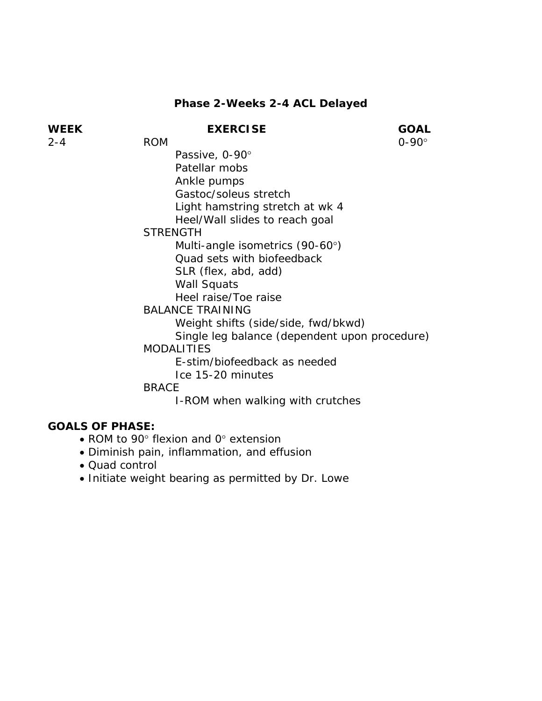# **Phase 2-Weeks 2-4 ACL Delayed**

| WEEK                                                    | <b>EXERCISE</b>                               | <b>GOAL</b>  |
|---------------------------------------------------------|-----------------------------------------------|--------------|
| 2-4                                                     | <b>ROM</b>                                    | $0-90^\circ$ |
|                                                         | Passive, 0-90°                                |              |
|                                                         | Patellar mobs                                 |              |
|                                                         | Ankle pumps                                   |              |
|                                                         | Gastoc/soleus stretch                         |              |
|                                                         | Light hamstring stretch at wk 4               |              |
|                                                         | Heel/Wall slides to reach goal                |              |
|                                                         | <b>STRENGTH</b>                               |              |
|                                                         | Multi-angle isometrics (90-60°)               |              |
|                                                         | Quad sets with biofeedback                    |              |
|                                                         | SLR (flex, abd, add)                          |              |
|                                                         | Wall Squats                                   |              |
|                                                         | Heel raise/Toe raise                          |              |
|                                                         | <b>BALANCE TRAINING</b>                       |              |
|                                                         | Weight shifts (side/side, fwd/bkwd)           |              |
|                                                         | Single leg balance (dependent upon procedure) |              |
|                                                         | <b>MODALITIES</b>                             |              |
|                                                         | E-stim/biofeedback as needed                  |              |
|                                                         | Ice 15-20 minutes                             |              |
|                                                         | <b>BRACE</b>                                  |              |
|                                                         | I-ROM when walking with crutches              |              |
| $\cap$ $\cap$ $\cap$ $\cap$ $\cap$ $\cap$ $\cap$ $\cap$ |                                               |              |

- ROM to 90° flexion and 0° extension
- Diminish pain, inflammation, and effusion
- Quad control
- Initiate weight bearing as permitted by Dr. Lowe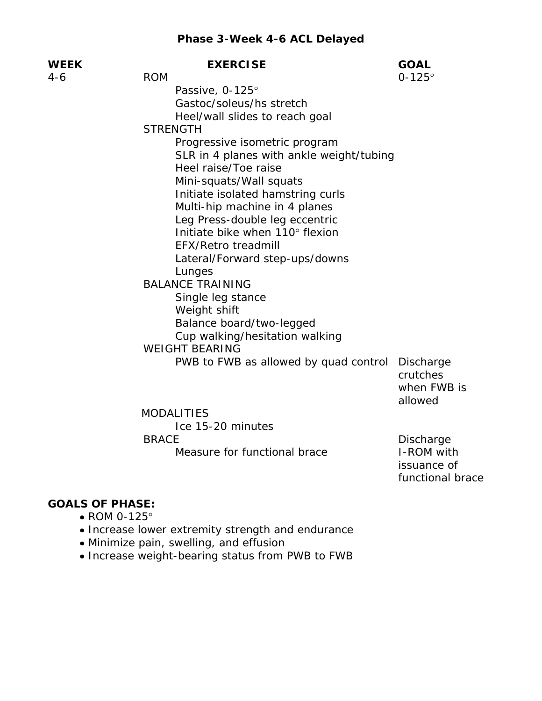| WEEK | <b>EXERCISE</b>                          | <b>GOAL</b>                  |
|------|------------------------------------------|------------------------------|
| 4-6  | <b>ROM</b>                               | $0 - 125^{\circ}$            |
|      | Passive, 0-125°                          |                              |
|      | Gastoc/soleus/hs stretch                 |                              |
|      | Heel/wall slides to reach goal           |                              |
|      | <b>STRENGTH</b>                          |                              |
|      | Progressive isometric program            |                              |
|      | SLR in 4 planes with ankle weight/tubing |                              |
|      | Heel raise/Toe raise                     |                              |
|      | Mini-squats/Wall squats                  |                              |
|      | Initiate isolated hamstring curls        |                              |
|      | Multi-hip machine in 4 planes            |                              |
|      | Leg Press-double leg eccentric           |                              |
|      | Initiate bike when 110° flexion          |                              |
|      | <b>EFX/Retro treadmill</b>               |                              |
|      | Lateral/Forward step-ups/downs           |                              |
|      | Lunges                                   |                              |
|      | <b>BALANCE TRAINING</b>                  |                              |
|      | Single leg stance                        |                              |
|      | Weight shift                             |                              |
|      | Balance board/two-legged                 |                              |
|      | Cup walking/hesitation walking           |                              |
|      | <b>WEIGHT BEARING</b>                    |                              |
|      | PWB to FWB as allowed by quad control    | <b>Discharge</b><br>crutches |
|      |                                          | when FWB is<br>allowed       |
|      | <b>MODALITIES</b>                        |                              |
|      | Ice 15-20 minutes                        |                              |
|      | <b>BRACE</b>                             | Discharge                    |
|      | Measure for functional brace             | I-ROM with                   |
|      |                                          |                              |

issuance of

functional brace

- ROM 0-125°
- Increase lower extremity strength and endurance
- Minimize pain, swelling, and effusion
- Increase weight-bearing status from PWB to FWB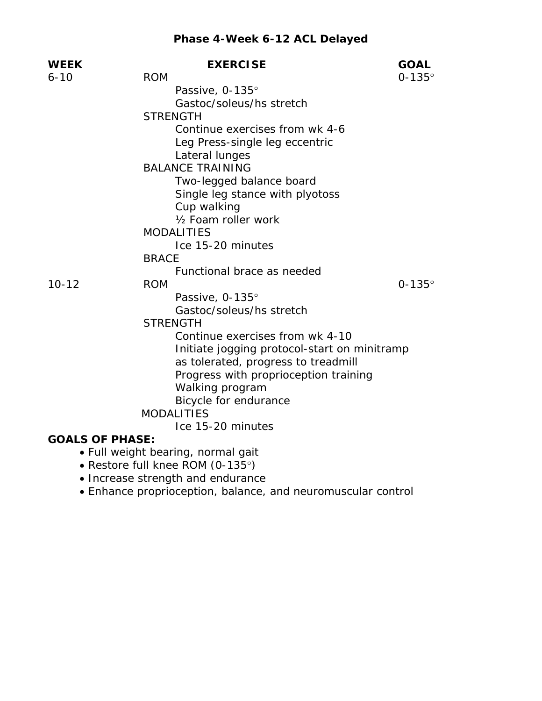# **Phase 4-Week 6-12 ACL Delayed**

| <b>WEEK</b>            | <b>EXERCISE</b>                                                                                                                                                                                                                                                                                                                                                                                   | <b>GOAL</b>       |
|------------------------|---------------------------------------------------------------------------------------------------------------------------------------------------------------------------------------------------------------------------------------------------------------------------------------------------------------------------------------------------------------------------------------------------|-------------------|
| $6 - 10$               | <b>ROM</b>                                                                                                                                                                                                                                                                                                                                                                                        | $0-135^\circ$     |
|                        | Passive, 0-135°                                                                                                                                                                                                                                                                                                                                                                                   |                   |
|                        | Gastoc/soleus/hs stretch                                                                                                                                                                                                                                                                                                                                                                          |                   |
|                        | <b>STRENGTH</b>                                                                                                                                                                                                                                                                                                                                                                                   |                   |
|                        | Continue exercises from wk 4-6                                                                                                                                                                                                                                                                                                                                                                    |                   |
|                        | Leg Press-single leg eccentric                                                                                                                                                                                                                                                                                                                                                                    |                   |
|                        | Lateral lunges                                                                                                                                                                                                                                                                                                                                                                                    |                   |
|                        | <b>BALANCE TRAINING</b>                                                                                                                                                                                                                                                                                                                                                                           |                   |
|                        | Two-legged balance board                                                                                                                                                                                                                                                                                                                                                                          |                   |
|                        | Single leg stance with plyotoss                                                                                                                                                                                                                                                                                                                                                                   |                   |
|                        | Cup walking                                                                                                                                                                                                                                                                                                                                                                                       |                   |
|                        | 1/ <sub>2</sub> Foam roller work                                                                                                                                                                                                                                                                                                                                                                  |                   |
|                        | <b>MODALITIES</b>                                                                                                                                                                                                                                                                                                                                                                                 |                   |
|                        | Ice 15-20 minutes                                                                                                                                                                                                                                                                                                                                                                                 |                   |
|                        | <b>BRACE</b>                                                                                                                                                                                                                                                                                                                                                                                      |                   |
|                        | Functional brace as needed                                                                                                                                                                                                                                                                                                                                                                        |                   |
| $10 - 12$              | <b>ROM</b>                                                                                                                                                                                                                                                                                                                                                                                        | $0 - 135^{\circ}$ |
|                        | Passive, 0-135°                                                                                                                                                                                                                                                                                                                                                                                   |                   |
|                        | Gastoc/soleus/hs stretch                                                                                                                                                                                                                                                                                                                                                                          |                   |
|                        | <b>STRENGTH</b>                                                                                                                                                                                                                                                                                                                                                                                   |                   |
|                        | Continue exercises from wk 4-10                                                                                                                                                                                                                                                                                                                                                                   |                   |
|                        | Initiate jogging protocol-start on minitramp                                                                                                                                                                                                                                                                                                                                                      |                   |
|                        | as tolerated, progress to treadmill                                                                                                                                                                                                                                                                                                                                                               |                   |
|                        | Progress with proprioception training                                                                                                                                                                                                                                                                                                                                                             |                   |
|                        | Walking program                                                                                                                                                                                                                                                                                                                                                                                   |                   |
|                        | Bicycle for endurance                                                                                                                                                                                                                                                                                                                                                                             |                   |
|                        | <b>MODALITIES</b>                                                                                                                                                                                                                                                                                                                                                                                 |                   |
|                        | Ice 15-20 minutes                                                                                                                                                                                                                                                                                                                                                                                 |                   |
| <b>GOALS OF PHASE:</b> |                                                                                                                                                                                                                                                                                                                                                                                                   |                   |
|                        | · Full weight bearing, normal gait<br>$\mathcal{L}$ $\mathcal{L}$ $\mathcal{L}$ $\mathcal{L}$ $\mathcal{L}$ $\mathcal{L}$ $\mathcal{L}$ $\mathcal{L}$ $\mathcal{L}$ $\mathcal{L}$ $\mathcal{L}$ $\mathcal{L}$ $\mathcal{L}$ $\mathcal{L}$ $\mathcal{L}$ $\mathcal{L}$ $\mathcal{L}$ $\mathcal{L}$ $\mathcal{L}$ $\mathcal{L}$ $\mathcal{L}$ $\mathcal{L}$ $\mathcal{L}$ $\mathcal{L}$ $\mathcal{$ |                   |

- Restore full knee ROM (0-135°)
- Increase strength and endurance
- Enhance proprioception, balance, and neuromuscular control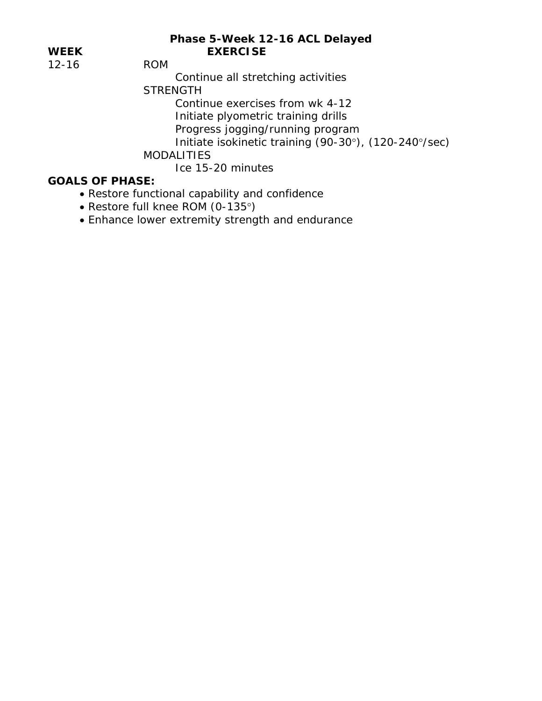## **Phase 5-Week 12-16 ACL Delayed**  WEEK EXERCISE

12-16 ROM

Continue all stretching activities

**STRENGTH** 

Continue exercises from wk 4-12

Initiate plyometric training drills

Progress jogging/running program

Initiate isokinetic training (90-30°), (120-240°/sec)

MODALITIES

Ice 15-20 minutes

- Restore functional capability and confidence
- Restore full knee ROM (0-135°)
- Enhance lower extremity strength and endurance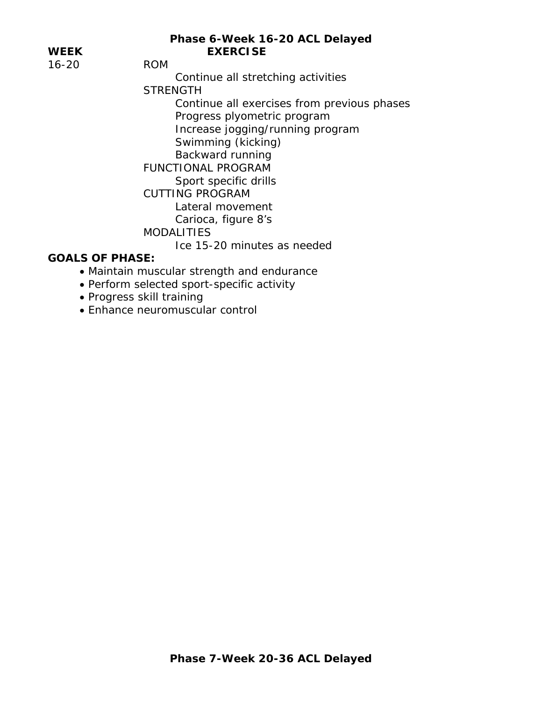## **Phase 6-Week 16-20 ACL Delayed**  WEEK EXERCISE

16-20 ROM

Continue all stretching activities

**STRENGTH** 

 Continue all exercises from previous phases Progress plyometric program Increase jogging/running program Swimming (kicking) Backward running FUNCTIONAL PROGRAM

Sport specific drills

CUTTING PROGRAM

Lateral movement

Carioca, figure 8's

**MODALITIES** 

Ice 15-20 minutes as needed

- Maintain muscular strength and endurance
- Perform selected sport-specific activity
- Progress skill training
- Enhance neuromuscular control